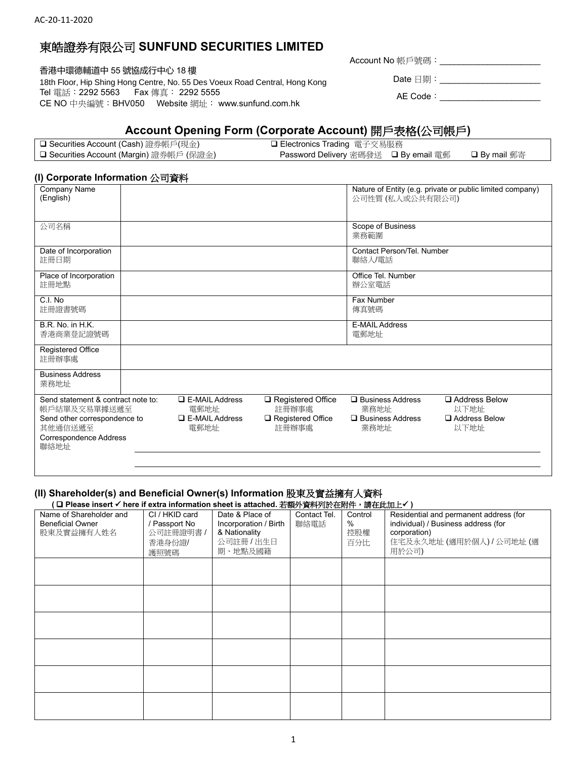## 東皓證券有限公司 **SUNFUND SECURITIES LIMITED**

香港中環德輔道中 55 號協成行中心 18 樓 18th Floor, Hip Shing Hong Centre, No. 55 Des Voeux Road Central, Hong Kong Tel 電話:2292 5563 Fax 傳真: 2292 5555 CE NO 中央編號:BHV050 Website 網址: www.sunfund.com.hk

Account No 帳戶號碼:\_\_\_\_\_\_\_\_\_\_\_\_\_\_\_\_\_\_\_\_\_

Date 日期:\_\_\_\_\_\_\_\_\_\_\_\_\_\_\_\_\_\_\_\_\_\_\_\_\_\_ AE Code:\_\_\_\_\_\_\_\_\_\_\_\_\_\_\_\_\_\_\_\_\_

# **Account Opening Form (Corporate Account)** 開戶表格**(**公司帳戶**)**

| <b>□ Securities Account (Cash)</b> 證券帳戶(現金) | □ Electronics Trading 電子交易服務         |                     |
|---------------------------------------------|--------------------------------------|---------------------|
| □ Securities Account (Margin) 證券帳戶 (保證金)    | Password Delivery 密碼發送 ❑ By email 電郵 | <b>□ By mail</b> 郵寄 |

### **(I) Corporate Information** 公司資料

| Company Name<br>(English)                                                 |                               |                                   | 公司性質 (私人或公共有限公司)                     | Nature of Entity (e.g. private or public limited company) |  |
|---------------------------------------------------------------------------|-------------------------------|-----------------------------------|--------------------------------------|-----------------------------------------------------------|--|
| 公司名稱                                                                      |                               |                                   | Scope of Business<br>業務範圍            |                                                           |  |
| Date of Incorporation<br>註冊日期                                             |                               |                                   | Contact Person/Tel. Number<br>聯絡人/電話 |                                                           |  |
| Place of Incorporation<br>註冊地點                                            |                               |                                   | Office Tel. Number<br>辦公室電話          |                                                           |  |
| C.I. No<br>註冊證書號碼                                                         |                               |                                   | Fax Number<br>傳真號碼                   |                                                           |  |
| B.R. No. in H.K.<br>香港商業登記證號碼                                             |                               |                                   | <b>E-MAIL Address</b><br>電郵地址        |                                                           |  |
| Registered Office<br>註冊辦事處                                                |                               |                                   |                                      |                                                           |  |
| <b>Business Address</b><br>業務地址                                           |                               |                                   |                                      |                                                           |  |
| Send statement & contract note to:<br>帳戶結單及交易單據送遞至                        | $\Box$ E-MAIL Address<br>電郵地址 | Registered Office<br>註冊辦事處        | $\Box$ Business Address<br>業務地址      | □ Address Below<br>以下地址                                   |  |
| Send other correspondence to<br>其他通信送遞至<br>Correspondence Address<br>聯絡地址 | $\Box$ E-MAIL Address<br>電郵地址 | $\Box$ Registered Office<br>註冊辦事處 | $\Box$ Business Address<br>業務地址      | Address Below<br>以下地址                                     |  |
|                                                                           |                               |                                   |                                      |                                                           |  |

#### **(II) Shareholder(s) and Beneficial Owner(s) Information** 股東及實益擁有人資料

**(** ❑ **Please insert** ✓ **here if extra information sheet is attached.** 若額外資料列於在附件,請在此加上✓ **)**

| Name of Shareholder and<br><b>Beneficial Owner</b><br>股東及實益擁有人姓名 | CI / HKID card<br>/ Passport No<br>公司註冊證明書 /<br>香港身份證/<br>護照號碼 | Date & Place of<br>Incorporation / Birth<br>& Nationality<br>公司註冊 / 出生日<br>期、地點及國籍 | Contact Tel.<br>聯絡電話 | Control<br>%<br>控股權<br>百分比 | Residential and permanent address (for<br>individual) / Business address (for<br>corporation)<br>住宅及永久地址 (適用於個人) / 公司地址 (適<br>用於公司) |
|------------------------------------------------------------------|----------------------------------------------------------------|------------------------------------------------------------------------------------|----------------------|----------------------------|-------------------------------------------------------------------------------------------------------------------------------------|
|                                                                  |                                                                |                                                                                    |                      |                            |                                                                                                                                     |
|                                                                  |                                                                |                                                                                    |                      |                            |                                                                                                                                     |
|                                                                  |                                                                |                                                                                    |                      |                            |                                                                                                                                     |
|                                                                  |                                                                |                                                                                    |                      |                            |                                                                                                                                     |
|                                                                  |                                                                |                                                                                    |                      |                            |                                                                                                                                     |
|                                                                  |                                                                |                                                                                    |                      |                            |                                                                                                                                     |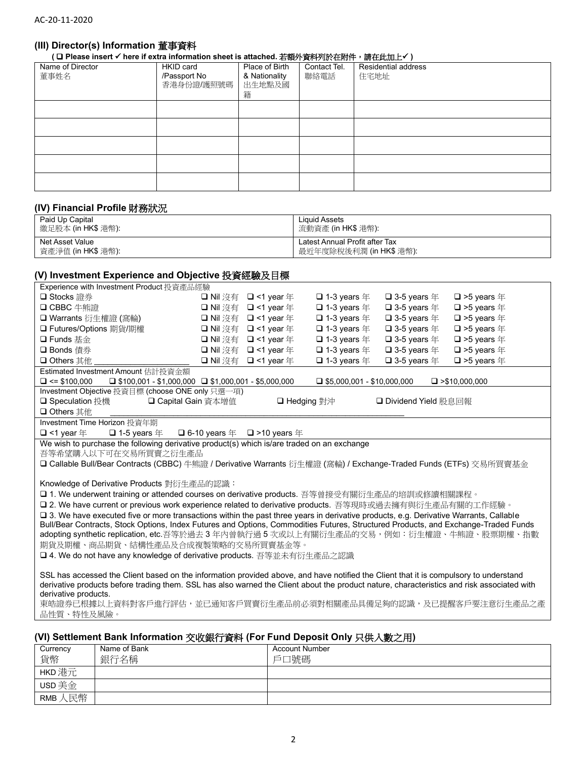### **(III) Director(s) Information** 董事資料

**(** ❑ **Please insert** ✓ **here if extra information sheet is attached.** 若額外資料列於在附件,請在此加上✓ **)**

| Name of Director<br>董事姓名 | HKID card<br>/Passport No<br>香港身份證/護照號碼 | Place of Birth<br>& Nationality<br>出生地點及國<br>籍 | Contact Tel.<br>聯絡電話 | Residential address<br>住宅地址 |
|--------------------------|-----------------------------------------|------------------------------------------------|----------------------|-----------------------------|
|                          |                                         |                                                |                      |                             |
|                          |                                         |                                                |                      |                             |
|                          |                                         |                                                |                      |                             |
|                          |                                         |                                                |                      |                             |
|                          |                                         |                                                |                      |                             |

#### **(IV) Financial Profile** 財務狀況

| Paid Up Capital    | Liquid Assets                  |
|--------------------|--------------------------------|
| 繳足股本 (in HK\$ 港幣)  | 流動資產 (in HK\$ 港幣):             |
| Net Asset Value    | Latest Annual Profit after Tax |
| 資產淨值 (in HK\$ 港幣): | 最近年度除稅後利潤 (in HK\$ 港幣):        |

#### **(V) Investment Experience and Objective** 投資經驗及目標

| Experience with Investment Product 投資產品經驗                                                                                                  |                        |                        |                                   |                                  |                                 |
|--------------------------------------------------------------------------------------------------------------------------------------------|------------------------|------------------------|-----------------------------------|----------------------------------|---------------------------------|
| □ Stocks 證券                                                                                                                                | □ Nil 沒有               | $\Box$ <1 year $\mp$   | $\Box$ 1-3 years $\mp$            | $\square$ 3-5 years $\#$         | $\square$ >5 years $\#$         |
| <b>□ CBBC</b> 牛熊證                                                                                                                          | □ Nil 沒有               | $\Box$ <1 year $\mp$   | $\square$ 1-3 years $\#$          | $\square$ 3-5 years $\#$         | $\Box$ >5 years $\#$            |
| □ Warrants 衍生權證 (窩輪)                                                                                                                       | □ Nil 沒有               | $\Box$ <1 year $\mp$   | $\Box$ 1-3 years $\pm$            | $\square$ 3-5 years $\nsubseteq$ | $\square$ >5 years $\#$         |
| □ Futures/Options 期貨/期權                                                                                                                    | □ Nil 沒有               | $\Box$ <1 year $\mp$   | $\Box$ 1-3 years $\mp$            | $\Box$ 3-5 years $\#$            | $\square$ >5 years $\nsubseteq$ |
| □ Funds 基金                                                                                                                                 | □ Nil 沒有               | $\Box$ <1 year $\mp$   | $\Box$ 1-3 years $\mp$            | $\square$ 3-5 years $\#$         | $\square$ >5 years $\nsubseteq$ |
| □ Bonds 債券                                                                                                                                 | □ Nil 沒有               | $\Box$ <1 year $\mp$   | $\Box$ 1-3 years $\pm$            | $\square$ 3-5 years $\#$         | $\square$ >5 years $\#$         |
| <b>□ Others</b> 其他                                                                                                                         | □ Nil 沒有               | $\Box$ <1 year $\mp$   | $\Box$ 1-3 years $\#$             | $\square$ 3-5 years $\#$         | $\square$ >5 years $\nsubseteq$ |
| Estimated Investment Amount 估計投資金額                                                                                                         |                        |                        |                                   |                                  |                                 |
| $\Box$ <= \$100.000<br>$\Box$ \$100,001 - \$1,000,000 $\Box$ \$1,000,001 - \$5,000,000                                                     |                        |                        | $\Box$ \$5,000,001 - \$10,000,000 |                                  | $\Box$ >\$10,000,000            |
| Investment Objective 投資目標 (choose ONE only 只選一項)                                                                                           |                        |                        |                                   |                                  |                                 |
| □ Capital Gain 資本增值<br><b>□ Speculation</b> 投機                                                                                             |                        | □ Hedging 對沖           |                                   | □ Dividend Yield 股息回報            |                                 |
| <b>□ Others</b> 其他                                                                                                                         |                        |                        |                                   |                                  |                                 |
| Investment Time Horizon 投資年期                                                                                                               |                        |                        |                                   |                                  |                                 |
| $\Box$ <1 year $\mp$<br>$\Box$ 1-5 years $\mp$                                                                                             | $\Box$ 6-10 years $\#$ | $\Box$ >10 years $\pm$ |                                   |                                  |                                 |
| We wish to purchase the following derivative product(s) which is/are traded on an exchange                                                 |                        |                        |                                   |                                  |                                 |
| 吾等希望購入以下可在交易所買賣之衍生產品                                                                                                                       |                        |                        |                                   |                                  |                                 |
| □ Callable Bull/Bear Contracts (CBBC) 牛熊證 / Derivative Warrants 衍生權證 (窩輪) / Exchange-Traded Funds (ETFs) 交易所買賣基金                           |                        |                        |                                   |                                  |                                 |
|                                                                                                                                            |                        |                        |                                   |                                  |                                 |
| Knowledge of Derivative Products 對衍生產品的認識:                                                                                                 |                        |                        |                                   |                                  |                                 |
| □ 1. We underwent training or attended courses on derivative products. 吾等曾接受有關衍生產品的培訓或修讀相關課程。                                              |                        |                        |                                   |                                  |                                 |
| □ 2. We have current or previous work experience related to derivative products. 吾等現時或過去擁有與衍生產品有關的工作經驗。                                    |                        |                        |                                   |                                  |                                 |
| □ 3. We have executed five or more transactions within the past three years in derivative products, e.g. Derivative Warrants, Callable     |                        |                        |                                   |                                  |                                 |
| Bull/Bear Contracts, Stock Options, Index Futures and Options, Commodities Futures, Structured Products, and Exchange-Traded Funds         |                        |                        |                                   |                                  |                                 |
| adopting synthetic replication, etc.吾等於過去 3 年内曾執行過 5 次或以上有關衍生產品的交易,例如:衍生權證、牛熊證、股票期權、指數                                                     |                        |                        |                                   |                                  |                                 |
| 期貨及期權、商品期貨、結構性產品及合成複製策略的交易所買賣基金等。                                                                                                          |                        |                        |                                   |                                  |                                 |
| <b>□ 4. We do not have any knowledge of derivative products.</b> 吾等並未有衍生產品之認識                                                              |                        |                        |                                   |                                  |                                 |
|                                                                                                                                            |                        |                        |                                   |                                  |                                 |
| SSL has accessed the Client based on the information provided above, and have notified the Client that it is compulsory to understand      |                        |                        |                                   |                                  |                                 |
| derivative products before trading them. SSL has also warned the Client about the product nature, characteristics and risk associated with |                        |                        |                                   |                                  |                                 |
| derivative products.                                                                                                                       |                        |                        |                                   |                                  |                                 |

東皓證券已根據以上資料對客戶進行評估,並已通知客戶買賣衍生產品前必須對相關產品具備足夠的認識,及已提醒客戶要注意衍生產品之產 品性質、特性及風險。

### **(VI) Settlement Bank Information** 交收銀行資料 **(For Fund Deposit Only** 只供入數之用**)**

| Currency<br>貨幣 | Name of Bank<br>銀行名稱 | <b>Account Number</b><br>戶口號碼 |
|----------------|----------------------|-------------------------------|
| HKD 港元         |                      |                               |
| USD 美金         |                      |                               |
| 、民幣<br>RMB     |                      |                               |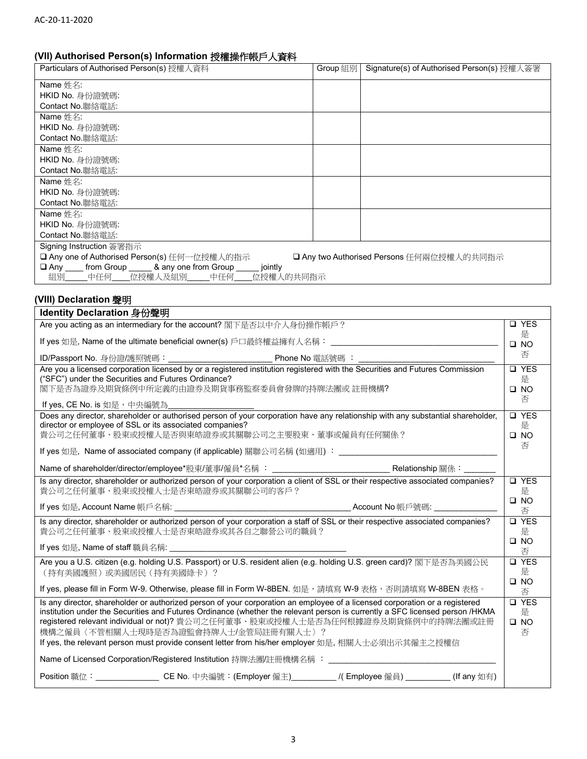### **(VII) Authorised Person(s) Information** 授權操作帳戶人資料

| Particulars of Authorised Person(s) 授權人資料                                                                                       | Group 組別       | Signature(s) of Authorised Person(s) 授權人簽署 |              |
|---------------------------------------------------------------------------------------------------------------------------------|----------------|--------------------------------------------|--------------|
| Name 姓名:                                                                                                                        |                |                                            |              |
| HKID No. 身份證號碼:                                                                                                                 |                |                                            |              |
| Contact No.聯絡電話:                                                                                                                |                |                                            |              |
| Name 姓名:                                                                                                                        |                |                                            |              |
| HKID No. 身份證號碼:                                                                                                                 |                |                                            |              |
| Contact No.聯絡電話:                                                                                                                |                |                                            |              |
| Name 姓名:                                                                                                                        |                |                                            |              |
| HKID No. 身份證號碼                                                                                                                  |                |                                            |              |
| Contact No.聯絡電話:                                                                                                                |                |                                            |              |
| Name 姓名:                                                                                                                        |                |                                            |              |
| HKID No. 身份證號碼:                                                                                                                 |                |                                            |              |
| Contact No. 聯絡電話                                                                                                                |                |                                            |              |
| Name 姓名:                                                                                                                        |                |                                            |              |
| HKID No. 身份證號碼                                                                                                                  |                |                                            |              |
| Contact No. 聯絡電話:                                                                                                               |                |                                            |              |
| Signing Instruction 簽署指示                                                                                                        |                |                                            |              |
| □ Any one of Authorised Person(s) 任何一位授權人的指示                                                                                    |                | □ Any two Authorised Persons 任何兩位授權人的共同指示  |              |
| □ Any ____ from Group _____ & any one from Group _____<br>jointly                                                               |                |                                            |              |
| 位授權人及組別<br>中任何____<br>中任何<br>位授權人的共同指示<br>組別                                                                                    |                |                                            |              |
|                                                                                                                                 |                |                                            |              |
| (VIII) Declaration 聲明                                                                                                           |                |                                            |              |
| Identity Declaration 身份聲明                                                                                                       |                |                                            |              |
| Are you acting as an intermediary for the account? 閣下是否以中介人身份操作帳戶?                                                              |                |                                            | <b>Q</b> YES |
|                                                                                                                                 |                |                                            | 是            |
| If yes 如是, Name of the ultimate beneficial owner(s) 戶口最終權益擁有人名稱:________________                                                |                |                                            | $\square$ NO |
|                                                                                                                                 | Phone No 電話號碼: |                                            | 否            |
| Are you a licensed corporation licensed by or a registered institution registered with the Securities and Futures Commission    |                |                                            | <b>Q</b> YES |
| ("SFC") under the Securities and Futures Ordinance?                                                                             |                |                                            | 是            |
| 閣下是否為證券及期貨條例中所定義的由證券及期貨事務監察委員會發牌的持牌法團或 註冊機構?                                                                                    |                |                                            | $\square$ NO |
| If yes, CE No. is 如是,中央編號為                                                                                                      |                |                                            | 否            |
| Does any director, shareholder or authorised person of your corporation have any relationship with any substantial shareholder, |                |                                            | <b>Q</b> YES |
| director or employee of SSL or its associated companies?                                                                        |                |                                            | 是            |
| 貴公司之任何董事、股東或授權人是否與東皓證券或其關聯公司之主要股東、董事或僱員有任何關係?                                                                                   |                |                                            | $\square$ NO |
|                                                                                                                                 |                |                                            | 否            |

If yes 如是, Name of associated company (if applicable) 關聯公司名稱 (如適用) : \_\_\_\_\_\_\_\_\_\_ Name of shareholder/director/employee\*股東/董事/僱員\*名稱 : \_\_\_\_\_\_\_\_\_\_\_\_\_\_\_\_\_\_\_\_\_\_\_\_\_\_\_\_\_<br>Relationship 關係: Is any director, shareholder or authorized person of your corporation a client of SSL or their respective associated companies? 貴公司之任何董事、股東或授權人士是否東皓證券或其關聯公司的客戶? If yes 如是, Account Name 帳戶名稱: \_\_\_\_\_\_\_\_\_\_\_\_\_\_\_\_\_\_\_\_\_\_\_\_\_\_\_\_\_\_\_\_\_\_\_\_\_\_\_ Account No 帳戶號碼: \_\_\_\_\_\_\_\_\_\_\_\_\_\_

否 Is any director, shareholder or authorized person of your corporation a staff of SSL or their respective associated companies? 貴公司之任何董事、股東或授權人士是否東皓證券或其各自之聯營公司的職員? If yes 如是, Name of staff 職員名稱: ❑ YES 是 ❑ NO 否 Are you a U.S. citizen (e.g. holding U.S. Passport) or U.S. resident alien (e.g. holding U.S. green card)? 閣下是否為美國公民 (持有美國護照)或美國居民(持有美國綠卡)? If yes, please fill in Form W-9. Otherwise, please fill in Form W-8BEN. 如是,請填寫 W-9 表格,否則請填寫 W-8BEN 表格。 ❑ YES 是 ❑ NO 否 Is any director, shareholder or authorized person of your corporation an employee of a licensed corporation or a registered institution under the Securities and Futures Ordinance (whether the relevant person is currently a SFC licensed person /HKMA ❑ YES 是

❑ YES 是 ❑ NO

registered relevant individual or not)? 貴公司之任何董事、股東或授權人士是否為任何根據證券及期貨條例中的持牌法團或註冊 機構之僱員〈不管相關人士現時是否為證監會持牌人士/金管局註冊有關人士〉? If yes, the relevant person must provide consent letter from his/her employer 如是, 相關人士必須出示其僱主之授權信 Name of Licensed Corporation/Registered Institution 持牌法團/註冊機構名稱: Position 職位: \_\_\_\_\_\_\_\_\_\_\_\_\_\_\_\_\_ CE No. 中央編號: (Employer 僱主)\_\_\_\_\_\_\_\_\_\_/( Employee 僱員) \_\_\_\_\_\_\_\_\_\_(If any 如有) ❑ NO 否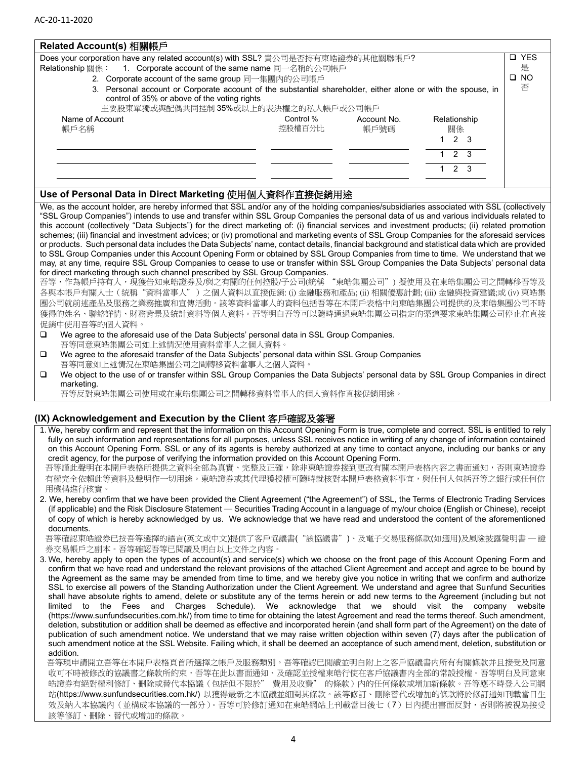| Related Account(s) 相關帳戶 |  |
|-------------------------|--|
|                         |  |

| Does your corporation have any related account(s) with SSL? 貴公司是否持有東皓證券的其他關聯帳戶?                                                                                                                      |                     |                     |                    | □ YES        |
|------------------------------------------------------------------------------------------------------------------------------------------------------------------------------------------------------|---------------------|---------------------|--------------------|--------------|
| 1. Corporate account of the same name 同一名稱的公司帳戶<br>Relationship 關係:                                                                                                                                  |                     |                     |                    | 是            |
| 2. Corporate account of the same group 同一集團內的公司帳戶                                                                                                                                                    |                     |                     |                    | $\square$ NO |
| 3. Personal account or Corporate account of the substantial shareholder, either alone or with the spouse, in<br>control of 35% or above of the voting rights<br>主要股東單獨或與配偶共同控制 35%或以上的表決權之的私人帳戶或公司帳戶 |                     |                     |                    | 否            |
| Name of Account<br>帳戶名稱                                                                                                                                                                              | Control %<br>控股權百分比 | Account No.<br>帳戶號碼 | Relationship<br>關係 |              |
|                                                                                                                                                                                                      |                     |                     | $1\quad2\quad3$    |              |
|                                                                                                                                                                                                      |                     |                     | $1 \t2 \t3$        |              |
|                                                                                                                                                                                                      |                     |                     | 2 3                |              |
|                                                                                                                                                                                                      |                     |                     |                    |              |

## **Use of Personal Data in Direct Marketing** 使用個人資料作直接促銷用途

We, as the account holder, are hereby informed that SSL and/or any of the holding companies/subsidiaries associated with SSL (collectively "SSL Group Companies") intends to use and transfer within SSL Group Companies the personal data of us and various individuals related to this account (collectively "Data Subjects") for the direct marketing of: (i) financial services and investment products; (ii) related promotion schemes; (iii) financial and investment advices; or (iv) promotional and marketing events of SSL Group Companies for the aforesaid services or products. Such personal data includes the Data Subjects' name, contact details, financial background and statistical data which are provided to SSL Group Companies under this Account Opening Form or obtained by SSL Group Companies from time to time. We understand that we may, at any time, require SSL Group Companies to cease to use or transfer within SSL Group Companies the Data Subjects' personal data for direct marketing through such channel prescribed by SSL Group Companies.

吾等,作為帳戶持有人,現獲告知東皓證券及/與之有關的任何控股/子公司(統稱 "東皓集團公司") 擬使用及在東皓集團公司之間轉移吾等及 各與本帳戶有關人士(統稱"資料當事人")之個人資料以直接促銷: (i) 金融服務和產品; (ii) 相關優惠計劃; (iii) 金融與投資建議;或 (iv) 東皓集 團公司就前述產品及服務之業務推廣和宣傳活動。該等資料當事人的資料包括吾等在本開戶表格中向東皓集團公司提供的及東皓集團公司不時 獲得的姓名、聯絡詳情、財務背景及統計資料等個人資料。吾等明白吾等可以隨時通過東皓集團公司指定的渠道要求東皓集團公司停止在直接 促銷中使用吾等的個人資料。

- ❑ We agree to the aforesaid use of the Data Subjects' personal data in SSL Group Companies. 吾等同意東皓集團公司如上述情況使用資料當事人之個人資料。
- ❑ We agree to the aforesaid transfer of the Data Subjects' personal data within SSL Group Companies 吾等同意如上述情況在東皓集團公司之間轉移資料當事人之個人資料。
- ❑ We object to the use of or transfer within SSL Group Companies the Data Subjects' personal data by SSL Group Companies in direct marketing.

吾等反對東皓集團公司使用或在東皓集團公司之間轉移資料當事人的個人資料作直接促銷用途。

#### **(IX) Acknowledgement and Execution by the Client** 客戶確認及簽署

1. We, hereby confirm and represent that the information on this Account Opening Form is true, complete and correct. SSL is entitled to rely fully on such information and representations for all purposes, unless SSL receives notice in writing of any change of information contained on this Account Opening Form. SSL or any of its agents is hereby authorized at any time to contact anyone, including our banks or any credit agency, for the purpose of verifying the information provided on this Account Opening Form.

吾等謹此聲明在本開戶表格所提供之資料全部為真實、完整及正確,除非東皓證券接到更改有關本開戶表格內容之書面通知,否則東皓證券 有權完全依賴此等資料及聲明作一切用途。東皓證券或其代理獲授權可隨時就核對本開戶表格資料事宜,與任何人包括吾等之銀行或任何信 用機構進行核實。

2. We, hereby confirm that we have been provided the Client Agreement ("the Agreement") of SSL, the Terms of Electronic Trading Services (if applicable) and the Risk Disclosure Statement ─ Securities Trading Account in a language of my/our choice (English or Chinese), receipt of copy of which is hereby acknowledged by us. We acknowledge that we have read and understood the content of the aforementioned documents.

吾等確認東皓證券已按吾等選擇的語言(英文或中文)提供了客戶協議書("該協議書")、及電子交易服務條款(如適用)及風險披露聲明書 ─ 證 券交易帳戶之副本。吾等確認吾等已閱讀及明白以上文件之內容。

3. We, hereby apply to open the types of account(s) and service(s) which we choose on the front page of this Account Opening Form and confirm that we have read and understand the relevant provisions of the attached Client Agreement and accept and agree to be bound by the Agreement as the same may be amended from time to time, and we hereby give you notice in writing that we confirm and authorize SSL to exercise all powers of the Standing Authorization under the Client Agreement. We understand and agree that Sunfund Securities shall have absolute rights to amend, delete or substitute any of the terms herein or add new terms to the Agreement (including but not limited to the Fees and Charges Schedule). We acknowledge that we should visit the company website (https://www.sunfundsecurities.com.hk/) from time to time for obtaining the latest Agreement and read the terms thereof. Such amendment, deletion, substitution or addition shall be deemed as effective and incorporated herein (and shall form part of the Agreement) on the date of publication of such amendment notice. We understand that we may raise written objection within seven (7) days after the publication of such amendment notice at the SSL Website. Failing which, it shall be deemed an acceptance of such amendment, deletion, substitution or addition.

 吾等現申請開立吾等在本開戶表格頁首所選擇之帳戶及服務類別。吾等確認已閲讀並明白附上之客戶協議書内所有有關條款并且接受及同意 收可不時被修改的協議書之條款所約束,吾等在此以書面通知、及確認並授權東皓行使在客戶協議書内全部的常設授權。吾等明白及同意東 皓證券有絕對權利修訂、刪除或替代本協議(包括但不限於" 費用及收費" 的條款)內的任何條款或增加新條款。吾等應不時登入公司網 站(https://www.sunfundsecurities.com.hk/) 以獲得最新之本協議並細閱其條款。該等修訂、刪除替代或增加的條款將於修訂通知刊載當日生 效及納入本協議內(並構成本協議的一部分)。吾等可於修訂通知在東皓網站上刊載當日後七(7)日內提出書面反對,否則將被視為接受 該等修訂、刪除、替代或增加的條款。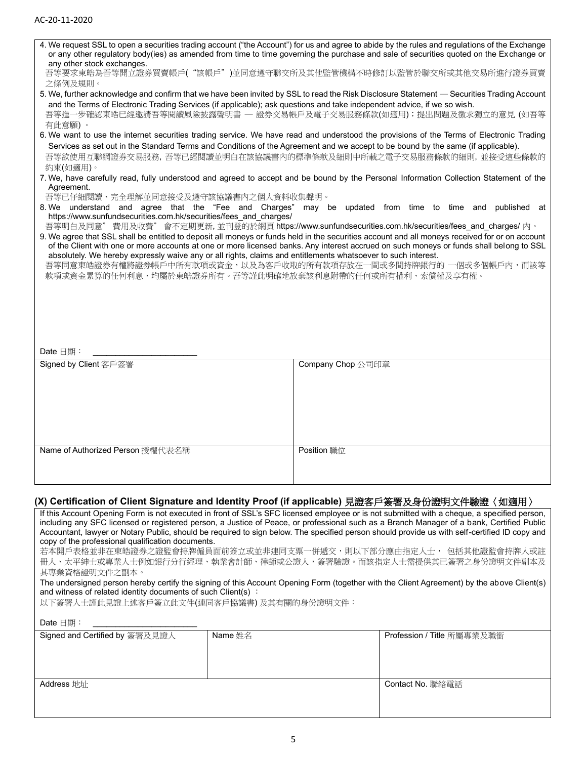| any other stock exchanges.                                                                    |                                                                                                                                        | 4. We request SSL to open a securities trading account ("the Account") for us and agree to abide by the rules and regulations of the Exchange<br>or any other regulatory body(ies) as amended from time to time governing the purchase and sale of securities quoted on the Exchange or |  |  |
|-----------------------------------------------------------------------------------------------|----------------------------------------------------------------------------------------------------------------------------------------|-----------------------------------------------------------------------------------------------------------------------------------------------------------------------------------------------------------------------------------------------------------------------------------------|--|--|
| 之條例及規則。                                                                                       |                                                                                                                                        | 吾等要求東皓為吾等開立證券買賣帳戶("該帳戶")並同意遵守聯交所及其他監管機構不時修訂以監管於聯交所或其他交易所進行證券買賣                                                                                                                                                                                                                          |  |  |
|                                                                                               |                                                                                                                                        | 5. We, further acknowledge and confirm that we have been invited by SSL to read the Risk Disclosure Statement — Securities Trading Account                                                                                                                                              |  |  |
| 有此意願)。                                                                                        | and the Terms of Electronic Trading Services (if applicable); ask questions and take independent advice, if we so wish.                | 吾等進一步確認東皓已經邀請吾等閱讀風險披露聲明書 - 證券交易帳戶及電子交易服務條款(如適用);提出問題及徵求獨立的意見 (如吾等                                                                                                                                                                                                                       |  |  |
|                                                                                               |                                                                                                                                        | 6. We want to use the internet securities trading service. We have read and understood the provisions of the Terms of Electronic Trading                                                                                                                                                |  |  |
|                                                                                               | Services as set out in the Standard Terms and Conditions of the Agreement and we accept to be bound by the same (if applicable).       |                                                                                                                                                                                                                                                                                         |  |  |
| 約束(如適用)。                                                                                      |                                                                                                                                        | 吾等欲使用互聯網證券交易服務,吾等已經閱讀並明白在該協議書內的標準條款及細則中所載之電子交易服務條款的細則,並接受這些條款的                                                                                                                                                                                                                          |  |  |
| Agreement.                                                                                    | 7. We, have carefully read, fully understood and agreed to accept and be bound by the Personal Information Collection Statement of the |                                                                                                                                                                                                                                                                                         |  |  |
| 吾等已仔細閱讀、完全理解並同意接受及遵守該協議書內之個人資料收集聲明。                                                           |                                                                                                                                        | 8. We understand and agree that the "Fee and Charges" may be updated from time to time and published at                                                                                                                                                                                 |  |  |
| https://www.sunfundsecurities.com.hk/securities/fees and charges/                             | 吾等明白及同意"費用及收費"會不定期更新,並刊登的於網頁 https://www.sunfundsecurities.com.hk/securities/fees_and charges/ 內。                                      |                                                                                                                                                                                                                                                                                         |  |  |
|                                                                                               |                                                                                                                                        | 9. We agree that SSL shall be entitled to deposit all moneys or funds held in the securities account and all moneys received for or on account                                                                                                                                          |  |  |
|                                                                                               |                                                                                                                                        | of the Client with one or more accounts at one or more licensed banks. Any interest accrued on such moneys or funds shall belong to SSL                                                                                                                                                 |  |  |
|                                                                                               | absolutely. We hereby expressly waive any or all rights, claims and entitlements whatsoever to such interest.                          | 吾等同意東皓證券有權將證券帳戶中所有款項或資金,以及為客戶收取的所有款項存放在一間或多間持牌銀行的 一個或多個帳戶內,而該等                                                                                                                                                                                                                          |  |  |
|                                                                                               | 款項或資金累算的任何利息,均屬於東皓證券所有。吾等謹此明確地放棄該利息附帶的任何或所有權利、索償權及享有權。                                                                                 |                                                                                                                                                                                                                                                                                         |  |  |
|                                                                                               |                                                                                                                                        |                                                                                                                                                                                                                                                                                         |  |  |
|                                                                                               |                                                                                                                                        |                                                                                                                                                                                                                                                                                         |  |  |
|                                                                                               |                                                                                                                                        |                                                                                                                                                                                                                                                                                         |  |  |
|                                                                                               |                                                                                                                                        |                                                                                                                                                                                                                                                                                         |  |  |
|                                                                                               |                                                                                                                                        |                                                                                                                                                                                                                                                                                         |  |  |
| Date 日期:                                                                                      |                                                                                                                                        |                                                                                                                                                                                                                                                                                         |  |  |
|                                                                                               |                                                                                                                                        |                                                                                                                                                                                                                                                                                         |  |  |
|                                                                                               |                                                                                                                                        |                                                                                                                                                                                                                                                                                         |  |  |
| Signed by Client 客戶簽署                                                                         | Company Chop 公司印章                                                                                                                      |                                                                                                                                                                                                                                                                                         |  |  |
|                                                                                               |                                                                                                                                        |                                                                                                                                                                                                                                                                                         |  |  |
|                                                                                               |                                                                                                                                        |                                                                                                                                                                                                                                                                                         |  |  |
|                                                                                               |                                                                                                                                        |                                                                                                                                                                                                                                                                                         |  |  |
|                                                                                               |                                                                                                                                        |                                                                                                                                                                                                                                                                                         |  |  |
|                                                                                               |                                                                                                                                        |                                                                                                                                                                                                                                                                                         |  |  |
|                                                                                               |                                                                                                                                        |                                                                                                                                                                                                                                                                                         |  |  |
| Name of Authorized Person 授權代表名稱                                                              | <b>Position 職位</b>                                                                                                                     |                                                                                                                                                                                                                                                                                         |  |  |
|                                                                                               |                                                                                                                                        |                                                                                                                                                                                                                                                                                         |  |  |
|                                                                                               |                                                                                                                                        |                                                                                                                                                                                                                                                                                         |  |  |
| (X) Certification of Client Signature and Identity Proof (if applicable) 見證客戶簽署及身份證明文件驗證〈如適用〉 |                                                                                                                                        |                                                                                                                                                                                                                                                                                         |  |  |
|                                                                                               |                                                                                                                                        | If this Account Opening Form is not executed in front of SSL's SFC licensed employee or is not submitted with a cheque, a specified person,                                                                                                                                             |  |  |
|                                                                                               |                                                                                                                                        | including any SFC licensed or registered person, a Justice of Peace, or professional such as a Branch Manager of a bank, Certified Public                                                                                                                                               |  |  |
|                                                                                               |                                                                                                                                        | Accountant, lawyer or Notary Public, should be required to sign below. The specified person should provide us with self-certified ID copy and                                                                                                                                           |  |  |
| copy of the professional qualification documents.                                             |                                                                                                                                        |                                                                                                                                                                                                                                                                                         |  |  |
|                                                                                               |                                                                                                                                        | 若本開戶表格並非在東皓證券之證監會持牌僱員面前簽立或並非連同支票一併遞交,則以下部分應由指定人士, 包括其他證監會持牌人或註<br>冊人、太平紳士或專業人士例如銀行分行經理、執業會計師、律師或公證人,簽署驗證。而該指定人士需提供其已簽署之身份證明文件副本及                                                                                                                                                        |  |  |
| 其專業資格證明文件之副本。                                                                                 |                                                                                                                                        |                                                                                                                                                                                                                                                                                         |  |  |
|                                                                                               |                                                                                                                                        | The undersigned person hereby certify the signing of this Account Opening Form (together with the Client Agreement) by the above Client(s)                                                                                                                                              |  |  |
| and witness of related identity documents of such Client(s) :                                 |                                                                                                                                        |                                                                                                                                                                                                                                                                                         |  |  |
| 以下簽署人士謹此見證上述客戶簽立此文件(連同客戶協議書)及其有關的身份證明文件:                                                      |                                                                                                                                        |                                                                                                                                                                                                                                                                                         |  |  |
| Date $\boxdot$ 期:<br>Signed and Certified by 簽署及見證人                                           | Name 姓名                                                                                                                                | Profession / Title 所屬專業及職銜                                                                                                                                                                                                                                                              |  |  |

Contact No. 聯絡電話